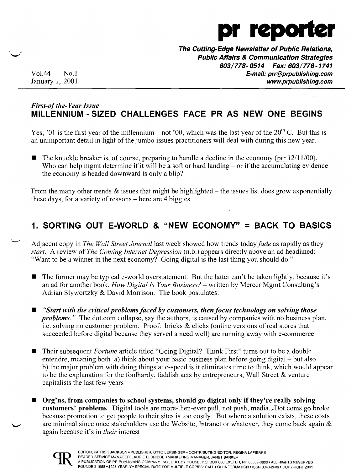

**The Cutting-Edge Newsletter of Public Relations, Public Affairs & Communication Strategies**  *603/778-0514 Fax: 603/778-1741*  Vo1.44 No.1 **E-mail: prr@prpublishing.com**  January 1, 2001 **www.prpublishing.com** 

### *First-ofthe-Year Issue*  **MILLENNIUM - SIZED CHALLENGES FACE PR AS NEW ONE BEGINS**

Yes, '01 is the first year of the millennium – not '00, which was the last year of the  $20<sup>th</sup>$  C. But this is an unimportant detail in light of the jumbo issues practitioners will deal with during this new year.

The knuckle breaker is, of course, preparing to handle a decline in the economy ( $\text{pr } 12/11/00$ ). Who can help mgmt determine if it will be a soft or hard landing  $-$  or if the accumulating evidence the economy is headed downward is only a blip?

From the many other trends  $\&$  issues that might be highlighted – the issues list does grow exponentially these days, for a variety of reasons – here are 4 biggies.

# **1. SORTING OUT E-WORLD & "NEW ECONOMY" = BACK TO BASICS**

Adjacent copy in *The Wall Street Journal* last week showed how trends today *fade* as rapidly as they *start.* A review of *The Coming Internet Depression* (n.b.) appears directly above an ad headlined: "Want to be a winner in the next economy? Going digital is the last thing you should do."

- $\blacksquare$  The former may be typical e-world overstatement. But the latter can't be taken lightly, because it's an ad for another book, *How Digital Is Your Business?* – written by Mercer Mgmt Consulting's Adrian Slywortzky & David Morrison. The book postulates:
- *• "Start with the critical problems faced by customers, then focus technology on solving those problems.*" The dot.com collapse, say the authors, is caused by companies with no business plan, i.e. solving no customer problem. Proof: bricks & clicks (online versions of real stores that succeeded before digital because they served a need well) are running away with e-commerce
- Their subsequent *Fortune* article titled "Going Digital? Think First" turns out to be a double entendre, meaning both a) think about your basic business plan before going digital – but also b) the major problem with doing things at e-speed is it eliminates time to think, which would appear to be the explanation for the foolhardy, faddish acts by entrepreneurs, Wall Street  $\&$  venture capitalists the last few years
- **Org'ns, from companies to school systems, should go digital only if they're really solving customers' problems.** Digital tools are more-then-ever pull, not push, media...Dot.coms go broke because promotion to get people to their sites is too costly. But where a solution exists, these costs are minimal since once stakeholders use the Website, Intranet or whatever, they come back again  $\&$ again because it's in *their* interest

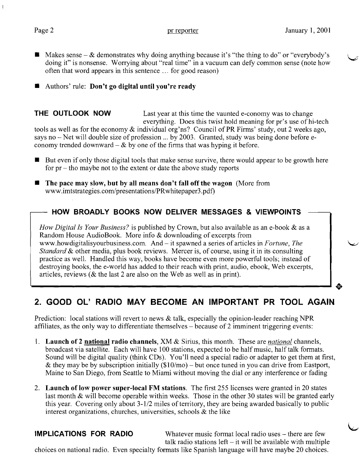$\overline{\phantom{0}}$ 

- $\blacksquare$  Makes sense & demonstrates why doing anything because it's "the thing to do" or "everybody's doing it" is nonsense. Worrying about "real time" in a vacuum can defy common sense (note how often that word appears in this sentence ... for good reason)
- $\blacksquare$  Authors' rule: Don't go digital until you're ready

**THE OUTLOOK NOW** Last year at this time the vaunted e-conomy was to change everything. Does this twist hold meaning for pr's use of hi-tech tools as well as for the economy & individual org'ns? Council of PR Firms' study, out 2 weeks ago, says no – Net will double size of profession ... by 2003. Granted, study was being done before economy trended downward  $-\&$  by one of the firms that was hyping it before.

- $\blacksquare$  But even if only those digital tools that make sense survive, there would appear to be growth here for  $pr$  – tho maybe not to the extent or date the above study reports
- $\blacksquare$  The pace may slow, but by all means don't fall off the wagon (More from www.imtstrategies.com/presentations/PRwhitepaper3.pdf)

## - HOW BROADLY BOOKS NOW DELIVER MESSAGES & VIEWPOINTS

*How Digital Is Your Business?* is published by Crown, but also available as an e-book & as a Random House AudioBook. More info & downloading of excerpts from www.howdigitalisyourbusiness.com. And – it spawned a series of articles in *Fortune*, *The Standard* & other media, plus book reviews. Mercer is, of course, using it in its consulting practice as well. Handled this way, books have become even more powerful tools; instead of destroying books, the e-world has added to their reach with print, audio, ebook, Web excerpts, articles, reviews (& the last 2 are also on the Web as well as in print).

# 2. GOOD Ol' RADIO MAY BECOME AN IMPORTANT PR TOOL AGAIN

Prediction: local stations will revert to news  $\&$  talk, especially the opinion-leader reaching NPR affiliates, as the only way to differentiate themselves - because of 2 imminent triggering events:

- 1. Launch of 2 national radio channels, XM & Sirius, this month. These are *national* channels, broadcast via satellite. Each will have 100 stations, expected to be half music, half talk formats. Sound will be digital quality (think CDs). You'll need a special radio or adapter to get them at first, & they may be by subscription initially  $(\$10/mo)$  – but once tuned in you can drive from Eastport, Maine to San Diego, from Seattle to Miami without moving the dial or any interference or fading
- 2. Launch of low power super-local FM stations. The first 255 licenses were granted in 20 states last month & will become operable within weeks. Those in the other 30 states will be granted early this year. Covering only about 3-1/2 miles of territory, they are being awarded basically to public interest organizations, churches, universities, schools & the like

IMPLICATIONS FOR RADIO Whatever music format local radio uses - there are few talk radio stations left  $-$  it will be available with multiple

choices on national radio. Even specialty formats like Spanish language will have maybe 20 choices.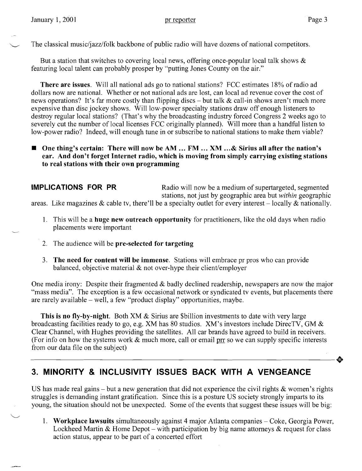The classical music/jazz/folk backbone of public radio will have dozens of national competitors.

But a station that switches to covering local news, offering once-popular local talk shows  $\&$ featuring local talent can probably prosper by "putting Jones County on the air."

**There are issues.** Will all national ads go to national stations? FCC estimates 18% of radio ad dollars now are national. Whether or not national ads are lost, can local ad revenue cover the cost of news operations? It's far more costly than flipping discs – but talk  $\&$  call-in shows aren't much more expensive than disc jockey shows. Will low-power specialty stations draw off enough listeners to destroy regular local stations? (That's why the broadcasting industry forced Congress 2 weeks ago to severely cut the number of local licenses FCC originally planned). Will more than a handful listen to low-power radio? Indeed, will enough tune in or subscribe to national stations to make them viable?

### ■ One thing's certain: There will now be AM ... FM ... XM ...& Sirius all after the nation's **ear. And don't forget Internet radio, which is moving from simply carrying existing stations to real stations with their own programming**

**IMPLICATIONS FOR PR** Radio will now be a medium of supertargeted, segmented stations, not just by geographic area but *within* geographic areas. Like magazines  $\&$  cable tv, there'll be a specialty outlet for every interest – locally  $\&$  nationally.

- 1. This will be a **huge new outreach opportunity** for practitioners, like the old days when radio placements were important
- 2. The audience will be **pre-selected for targeting**
- 3. **The need for content will be immense.** Stations will embrace pr pros who can provide balanced, objective material & not over-hype their client/employer

One media irony: Despite their fragmented & badly declined readership, newspapers are now the major "mass media". The exception is a few occasional network or syndicated tv events, but placements there are rarely available - well, a few "product display" opportunities, maybe.

**This is no fly-by-night.** Both XM & Sirius are \$billion investments to date with very large broadcasting facilities ready to go, e.g. XM has 80 studios. XM's investors include DirecTV, GM & Clear Channel; with Hughes providing the satellites. All car brands have agreed to build in receivers. (For info on how the systems work  $\&$  much more, call or email prr so we can supply specific interests from our data file on the subject)  $\bullet$ <br>from our data file on the subject)

# **3. MINORITY & INCLUSIVITY ISSUES BACK WITH A VENGEANCE**

US has made real gains – but a new generation that did not experience the civil rights  $\&$  women's rights struggles is demanding instant gratification. Since this is a posture US society strongly imparts to its young, the situation should not be unexpected. Some of the events that suggest these issues will be big:

1. **Workplace lawsuits** simultaneously against 4 major Atlanta companies - Coke, Georgia Power, Lockheed Martin & Home Depot – with participation by big name attorneys  $\&$  request for class action status, appear to be part of a concerted effort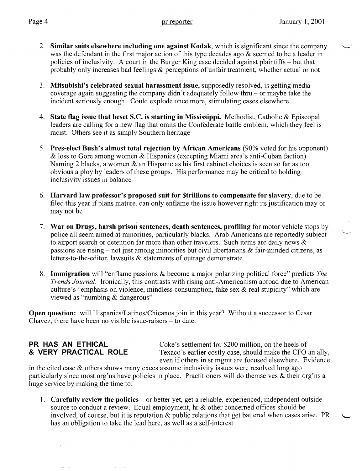- 2. Similar suits elsewhere including one against Kodak, which is significant since the company was the defendant in the first major action of this type decades ago & seemed to be a leader in policies of inclusivity. A court in the Burger King case decided against plaintiffs - but that probably only increases bad feelings & perceptions of unfair treatment, whether actual or not
- 3. Mitsubishi's celebrated sexual harassment issue, supposedly resolved, is getting media coverage again suggesting the company didn't adequately follow thru - or maybe take the incident seriously enough. Could explode once more, stimulating cases elsewhere
- 4. State flag issue that beset S.C. is starting in Mississippi. Methodist, Catholic & Episcopal leaders are calling for a new flag that omits the Confederate battle emblem, which they feel is racist. Others see it as simply Southern heritage
- 5. Pres-elect Bush's almost total rejection by African Americans (90% voted for his opponent) & loss to Gore among women & Hispanics (excepting Miami area's anti-Cuban faction). Naming 2 blacks, a women & an Hispanic as his first cabinet choices is seen so far as too obvious a ploy by leaders of these groups. His performance may be critical to holding inclusivity issues in balance
- 6. Harvard law professor's proposed suit for \$trillions to compensate for slavery, due to be filed this year if plans mature, can only enflame the issue however right its justification mayor may not be
- 7. War on Drugs, harsh prison sentences, death sentences, profiling for motor vehicle stops by police all seem aimed at minorities, particularly blacks. Arab Americans are reportedly subject to airport search or detention far more than other travelers. Such items are daily news & passions are rising  $-$  not just among minorities but civil libertarians  $\&$  fair-minded citizens, as letters-to-the-editor, lawsuits & statements of outrage demonstrate
- 8. Immigration will "enflame passions & become a major polarizing political force" predicts *The Trends Journal.* Ironically, this contrasts with rising anti-Americanism abroad due to American culture's "emphasis on violence, mindless consumption, fake sex & real stupidity" which are viewed as "numbing & dangerous"

Open question: will Hispanics/Latinos/Chicanos join in this year? Without a successor to Cesar Chavez, there have been no visible issue-raisers  $-$  to date.

**PR HAS AN ETHICAL** Coke's settlement for \$200 million, on the heels of **& VERY PRACTICAL ROLE** Texaco's earlier costly case, should make the CFO an ally, even if others in sr mgmt are focused elsewhere. Evidence

in the cited case  $\&$  others shows many execs assume inclusivity issues were resolved long ago – particularly since most org'ns have policies in place. Practitioners will do themselves  $\&$  their org'ns a huge service by making the time to:

1. **Carefully review the policies** – or better yet, get a reliable, experienced, independent outside source to conduct a review. Equal employment, hr & other concerned offices should be involved, of course, but it is reputation  $\&$  public relations that get battered when cases arise. PR has an obligation to take the lead here, as well as a self-interest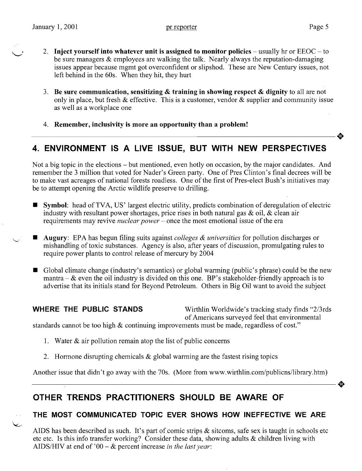- \~ 2. **Inject yourself into whatever unit is assigned to monitor policies**  usually hr or EEOC to be sure managers & employees are walking the talk. Nearly always the reputation-damaging issues appear because mgmt got overconfident or slipshod. These are New Century issues, not left behind in the 60s. When they hit, they hurt
- 3. **Be sure communication, sensitizing & training in showing respect & dignity** to all are not only in place, but fresh  $\&$  effective. This is a customer, vendor  $\&$  supplier and community issue as well as a workplace one
- 4. Remember, inclusivity is more an opportunity than a problem!

# **4. ENVIRONMENT IS A LIVE ISSUE, BUT WITH NEW PERSPECTIVES**

Not a big topic in the elections - but mentioned, even hotly on occasion, by the major candidates. And remember the 3 million that voted for Nader's Green party. One of Pres Clinton's final decrees will be to make vast acreages of national forests roadless. One of the first of Pres-elect Bush's initiatives may be to attempt opening the Arctic wildlife preserve to drilling.

- **•** Symbol: head of TVA, US' largest electric utility, predicts combination of deregulation of electric industry with resultant power shortages, price rises in both natural gas  $\&$  oil,  $\&$  clean air requirements may revive *nuclear power* - once the most emotional issue of the era
- **Augury**: EPA has begun filing suits against *colleges & universities* for pollution discharges or mishandling of toxic substances. Agency is also, after years of discussion, promulgating rules to require power plants to control release of mercury by 2004
- Global climate change (industry's semantics) or global warming (public's phrase) could be the new mantra  $-\&$  even the oil industry is divided on this one. BP's stakeholder-friendly approach is to advertise that its initials stand for Beyond Petroleum. Others in Big Oil want to avoid the subject

رب

**WHERE THE PUBLIC STANDS** Wirthlin Worldwide's tracking study finds "2/3rds" of Americans surveyed feel that environmental

standards cannot be too high & continuing improvements must be made, regardless of cost."

- 1. Water  $\&$  air pollution remain atop the list of public concerns
- 2. Hormone disrupting chemicals  $\&$  global warming are the fastest rising topics

Another issue that didn't go away with the 70s. (More from www.wirthlin.com/publicns/library.htm)

# **OTHER TRENDS PRACTITIONERS SHOULD BE AWARE OF**

## **THE MOST COMMUNICATED TOPIC EVER SHOWS HOW INEFFECTIVE WE ARE**

AIDS has been described as such. It's part of comic strips  $\&$  sitcoms, safe sex is taught in schools etc etc etc. Is this info transfer working? Consider these data, showing adults & children living with AIDS/HIV at end of '00 - & percent increase *in the last year:*